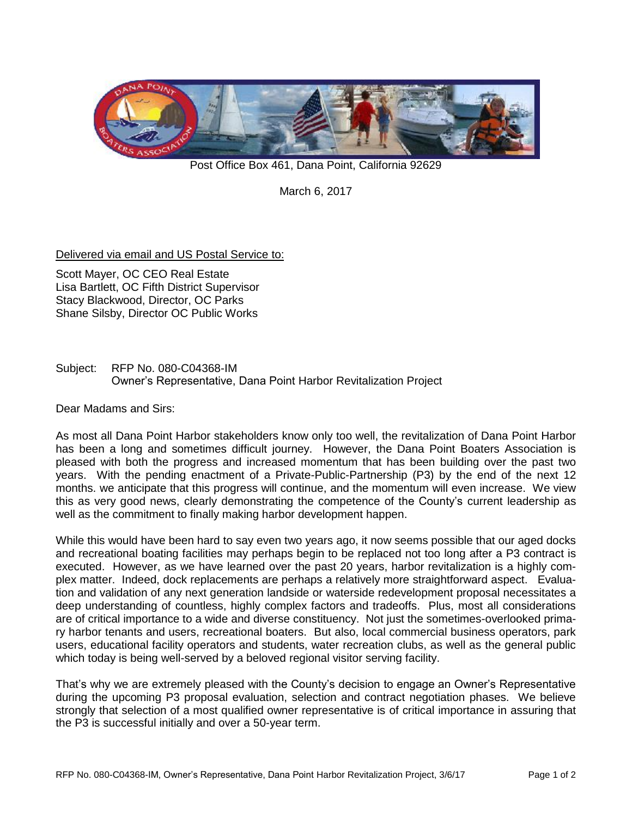

Post Office Box 461, Dana Point, California 92629

March 6, 2017

Delivered via email and US Postal Service to:

Scott Mayer, OC CEO Real Estate Lisa Bartlett, OC Fifth District Supervisor Stacy Blackwood, Director, OC Parks Shane Silsby, Director OC Public Works

## Subject: RFP No. 080-C04368-IM Owner's Representative, Dana Point Harbor Revitalization Project

Dear Madams and Sirs:

As most all Dana Point Harbor stakeholders know only too well, the revitalization of Dana Point Harbor has been a long and sometimes difficult journey. However, the Dana Point Boaters Association is pleased with both the progress and increased momentum that has been building over the past two years. With the pending enactment of a Private-Public-Partnership (P3) by the end of the next 12 months. we anticipate that this progress will continue, and the momentum will even increase. We view this as very good news, clearly demonstrating the competence of the County's current leadership as well as the commitment to finally making harbor development happen.

While this would have been hard to say even two years ago, it now seems possible that our aged docks and recreational boating facilities may perhaps begin to be replaced not too long after a P3 contract is executed. However, as we have learned over the past 20 years, harbor revitalization is a highly complex matter. Indeed, dock replacements are perhaps a relatively more straightforward aspect. Evaluation and validation of any next generation landside or waterside redevelopment proposal necessitates a deep understanding of countless, highly complex factors and tradeoffs. Plus, most all considerations are of critical importance to a wide and diverse constituency. Not just the sometimes-overlooked primary harbor tenants and users, recreational boaters. But also, local commercial business operators, park users, educational facility operators and students, water recreation clubs, as well as the general public which today is being well-served by a beloved regional visitor serving facility.

That's why we are extremely pleased with the County's decision to engage an Owner's Representative during the upcoming P3 proposal evaluation, selection and contract negotiation phases. We believe strongly that selection of a most qualified owner representative is of critical importance in assuring that the P3 is successful initially and over a 50-year term.